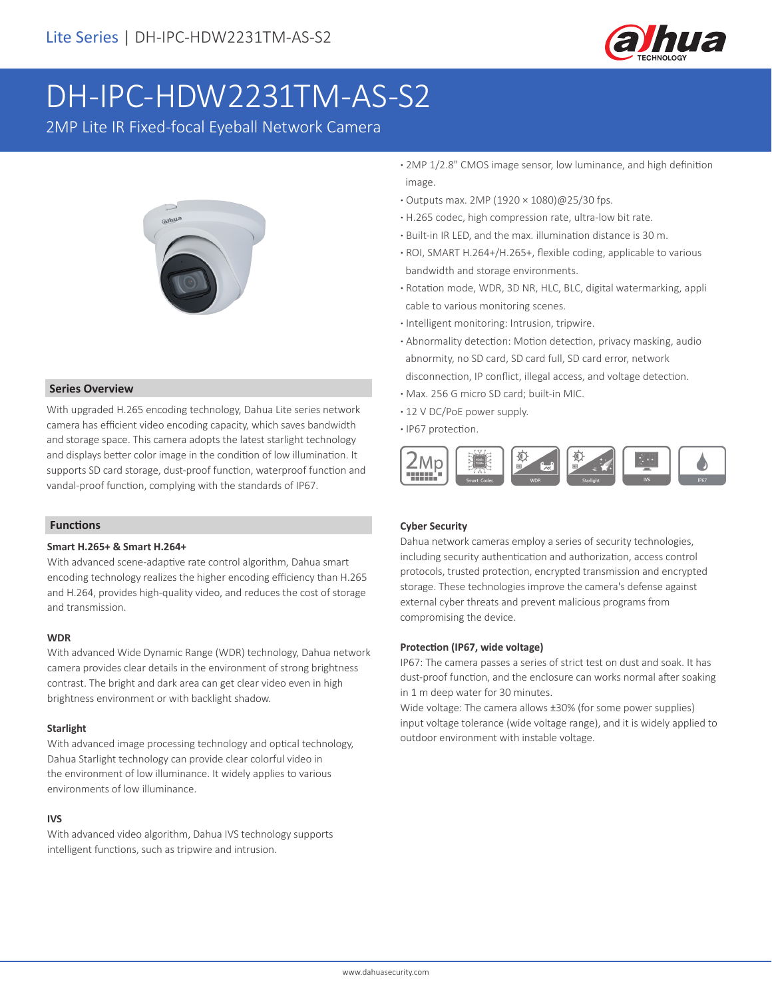

# DH-IPC-HDW2231TM-AS-S2

2MP Lite IR Fixed-focal Eyeball Network Camera



#### **Series Overview**

With upgraded H.265 encoding technology, Dahua Lite series network camera has efficient video encoding capacity, which saves bandwidth and storage space. This camera adopts the latest starlight technology and displays better color image in the condition of low illumination. It supports SD card storage, dust-proof function, waterproof function and vandal-proof function, complying with the standards of IP67.

#### **Functions**

### **Smart H.265+ & Smart H.264+**

With advanced scene-adaptive rate control algorithm, Dahua smart encoding technology realizes the higher encoding efficiency than H.265 and H.264, provides high-quality video, and reduces the cost of storage and transmission.

#### **WDR**

With advanced Wide Dynamic Range (WDR) technology, Dahua network camera provides clear details in the environment of strong brightness contrast. The bright and dark area can get clear video even in high brightness environment or with backlight shadow.

#### **Starlight**

With advanced image processing technology and optical technology, Dahua Starlight technology can provide clear colorful video in the environment of low illuminance. It widely applies to various environments of low illuminance.

## **IVS**

With advanced video algorithm, Dahua IVS technology supports intelligent functions, such as tripwire and intrusion.

- **·** 2MP 1/2.8" CMOS image sensor, low luminance, and high definition image.
- **·** Outputs max. 2MP (1920 × 1080)@25/30 fps.
- **·** H.265 codec, high compression rate, ultra-low bit rate.
- **·** Built-in IR LED, and the max. illumination distance is 30 m.
- **·** ROI, SMART H.264+/H.265+, flexible coding, applicable to various bandwidth and storage environments.
- **·** Rotation mode, WDR, 3D NR, HLC, BLC, digital watermarking, appli cable to various monitoring scenes.
- **·** Intelligent monitoring: Intrusion, tripwire.
- **·** Abnormality detection: Motion detection, privacy masking, audio abnormity, no SD card, SD card full, SD card error, network disconnection, IP conflict, illegal access, and voltage detection.
- **·** Max. 256 G micro SD card; built-in MIC.
- **·** 12 V DC/PoE power supply.
- **·** IP67 protection.



## **Cyber Security**

Dahua network cameras employ a series of security technologies, including security authentication and authorization, access control protocols, trusted protection, encrypted transmission and encrypted storage. These technologies improve the camera's defense against external cyber threats and prevent malicious programs from compromising the device.

#### **Protection (IP67, wide voltage)**

IP67: The camera passes a series of strict test on dust and soak. It has dust-proof function, and the enclosure can works normal after soaking in 1 m deep water for 30 minutes.

Wide voltage: The camera allows ±30% (for some power supplies) input voltage tolerance (wide voltage range), and it is widely applied to outdoor environment with instable voltage.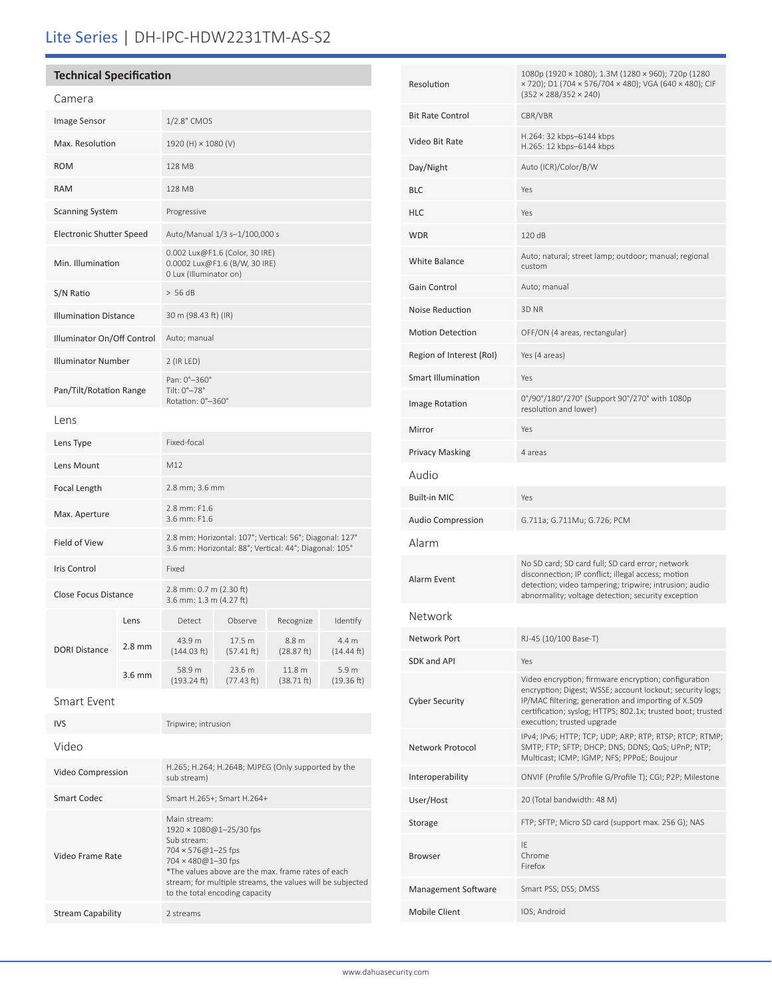# Lite Series | DH-IPC-HDW2231TM-AS-S2

| <b>Technical Specification</b>  |          |                                                                                                                   |                      |                                 |                                |
|---------------------------------|----------|-------------------------------------------------------------------------------------------------------------------|----------------------|---------------------------------|--------------------------------|
| Camera                          |          |                                                                                                                   |                      |                                 |                                |
| <b>Image Sensor</b>             |          | 1/2.8" CMOS                                                                                                       |                      |                                 |                                |
| Max. Resolution                 |          | 1920 (H) × 1080 (V)                                                                                               |                      |                                 |                                |
| <b>ROM</b>                      |          | 128 MB                                                                                                            |                      |                                 |                                |
| <b>RAM</b>                      |          | 128 MB                                                                                                            |                      |                                 |                                |
| <b>Scanning System</b>          |          | Progressive                                                                                                       |                      |                                 |                                |
| <b>Electronic Shutter Speed</b> |          | Auto/Manual 1/3 s-1/100,000 s                                                                                     |                      |                                 |                                |
| Min. Illumination               |          | 0.002 Lux@F1.6 (Color, 30 IRE)<br>0.0002 Lux@F1.6 (B/W, 30 IRE)<br>0 Lux (Illuminator on)                         |                      |                                 |                                |
| S/N Ratio                       |          | > 56 dB                                                                                                           |                      |                                 |                                |
| <b>Illumination Distance</b>    |          | 30 m (98.43 ft) (IR)                                                                                              |                      |                                 |                                |
| Illuminator On/Off Control      |          | Auto; manual                                                                                                      |                      |                                 |                                |
| <b>Illuminator Number</b>       |          | 2 (IR LED)                                                                                                        |                      |                                 |                                |
| Pan/Tilt/Rotation Range         |          | Pan: 0°-360°<br>Tilt: 0°-78°<br>Rotation: 0°-360°                                                                 |                      |                                 |                                |
| Lens                            |          |                                                                                                                   |                      |                                 |                                |
| Lens Type                       |          | Fixed-focal                                                                                                       |                      |                                 |                                |
| Lens Mount                      |          | M12                                                                                                               |                      |                                 |                                |
| Focal Length                    |          | 2.8 mm; 3.6 mm                                                                                                    |                      |                                 |                                |
| Max. Aperture                   |          | 2.8 mm: F1.6<br>3.6 mm: F1.6                                                                                      |                      |                                 |                                |
| Field of View                   |          | 2.8 mm: Horizontal: 107°; Vertical: 56°; Diagonal: 127°<br>3.6 mm: Horizontal: 88°; Vertical: 44°; Diagonal: 105° |                      |                                 |                                |
| Iris Control                    |          | Fixed                                                                                                             |                      |                                 |                                |
| Close Focus Distance            |          | 2.8 mm: 0.7 m (2.30 ft)<br>3.6 mm: 1.3 m (4.27 ft)                                                                |                      |                                 |                                |
|                                 | Lens     | Detect                                                                                                            | Observe              | Recognize                       | Identify                       |
| <b>DORI Distance</b>            | $2.8$ mm | 43.9 m<br>(144.03 ft)                                                                                             | 17.5 m<br>(57.41 ft) | 8.8 m<br>(28.87 ft)             | 4.4 m<br>$(14.44$ ft)          |
|                                 | $3.6$ mm | 58.9 m<br>(193.24 ft)                                                                                             | 23.6 m<br>(77.43 ft) | 11.8 <sub>m</sub><br>(38.71 ft) | 5.9 <sub>m</sub><br>(19.36 ft) |

| Smart Event |  |
|-------------|--|
|-------------|--|

| <b>IVS</b>        | Tripwire; intrusion                                                                                                                                                                                                                                               |
|-------------------|-------------------------------------------------------------------------------------------------------------------------------------------------------------------------------------------------------------------------------------------------------------------|
| Video             |                                                                                                                                                                                                                                                                   |
| Video Compression | H.265; H.264; H.264B; MJPEG (Only supported by the<br>sub stream)                                                                                                                                                                                                 |
| Smart Codec       | Smart H.265+; Smart H.264+                                                                                                                                                                                                                                        |
| Video Frame Rate  | Main stream:<br>1920 × 1080@1-25/30 fps<br>Sub stream:<br>$704 \times 576@1 - 25$ fps<br>704 × 480@1-30 fps<br>*The values above are the max, frame rates of each<br>stream; for multiple streams, the values will be subjected<br>to the total encoding capacity |
| Stream Capability | 2 streams                                                                                                                                                                                                                                                         |

| Resolution                | 1080p (1920 × 1080); 1.3M (1280 × 960); 720p (1280<br>× 720); D1 (704 × 576/704 × 480); VGA (640 × 480); CIF<br>$(352 \times 288/352 \times 240)$                                                                                                                     |
|---------------------------|-----------------------------------------------------------------------------------------------------------------------------------------------------------------------------------------------------------------------------------------------------------------------|
| Bit Rate Control          | CBR/VBR                                                                                                                                                                                                                                                               |
| Video Bit Rate            | H.264: 32 kbps-6144 kbps<br>H.265: 12 kbps-6144 kbps                                                                                                                                                                                                                  |
| Day/Night                 | Auto (ICR)/Color/B/W                                                                                                                                                                                                                                                  |
| BLC                       | Yes                                                                                                                                                                                                                                                                   |
| HLC                       | Yes                                                                                                                                                                                                                                                                   |
| WDR                       | 120 dB                                                                                                                                                                                                                                                                |
| <b>White Balance</b>      | Auto; natural; street lamp; outdoor; manual; regional<br>custom                                                                                                                                                                                                       |
| Gain Control              | Auto; manual                                                                                                                                                                                                                                                          |
| Noise Reduction           | 3D NR                                                                                                                                                                                                                                                                 |
| <b>Motion Detection</b>   | OFF/ON (4 areas, rectangular)                                                                                                                                                                                                                                         |
| Region of Interest (RoI)  | Yes (4 areas)                                                                                                                                                                                                                                                         |
| <b>Smart Illumination</b> | Yes                                                                                                                                                                                                                                                                   |
| Image Rotation            | 0°/90°/180°/270° (Support 90°/270° with 1080p<br>resolution and lower)                                                                                                                                                                                                |
| Mirror                    | Yes                                                                                                                                                                                                                                                                   |
| Privacy Masking           | 4 areas                                                                                                                                                                                                                                                               |
| Audio                     |                                                                                                                                                                                                                                                                       |
| Built-in MIC              | Yes                                                                                                                                                                                                                                                                   |
| Audio Compression         | G.711a; G.711Mu; G.726; PCM                                                                                                                                                                                                                                           |
| Alarm                     |                                                                                                                                                                                                                                                                       |
| Alarm Event               | No SD card; SD card full; SD card error; network<br>disconnection; IP conflict; illegal access; motion<br>detection; video tampering; tripwire; intrusion; audio<br>abnormality; voltage detection; security exception                                                |
| Network                   |                                                                                                                                                                                                                                                                       |
| Network Port              | RJ-45 (10/100 Base-T)                                                                                                                                                                                                                                                 |
| SDK and API               | Yes                                                                                                                                                                                                                                                                   |
| <b>Cyber Security</b>     | Video encryption; firmware encryption; configuration<br>encryption; Digest; WSSE; account lockout; security logs;<br>IP/MAC filtering; generation and importing of X.509<br>certification; syslog; HTTPS; 802.1x; trusted boot; trusted<br>execution; trusted upgrade |
| Network Protocol          | IPv4; IPv6; HTTP; TCP; UDP; ARP; RTP; RTSP; RTCP; RTMP;<br>SMTP; FTP; SFTP; DHCP; DNS; DDNS; QoS; UPnP; NTP;<br>Multicast; ICMP; IGMP; NFS; PPPoE; Boujour                                                                                                            |
| Interoperability          | ONVIF (Profile S/Profile G/Profile T); CGI; P2P; Milestone                                                                                                                                                                                                            |
| User/Host                 | 20 (Total bandwidth: 48 M)                                                                                                                                                                                                                                            |
| Storage                   | FTP; SFTP; Micro SD card (support max. 256 G); NAS                                                                                                                                                                                                                    |
| Browser                   | IE<br>Chrome<br>Firefox                                                                                                                                                                                                                                               |
| Management Software       | Smart PSS; DSS; DMSS                                                                                                                                                                                                                                                  |
| <b>Mobile Client</b>      | IOS; Android                                                                                                                                                                                                                                                          |